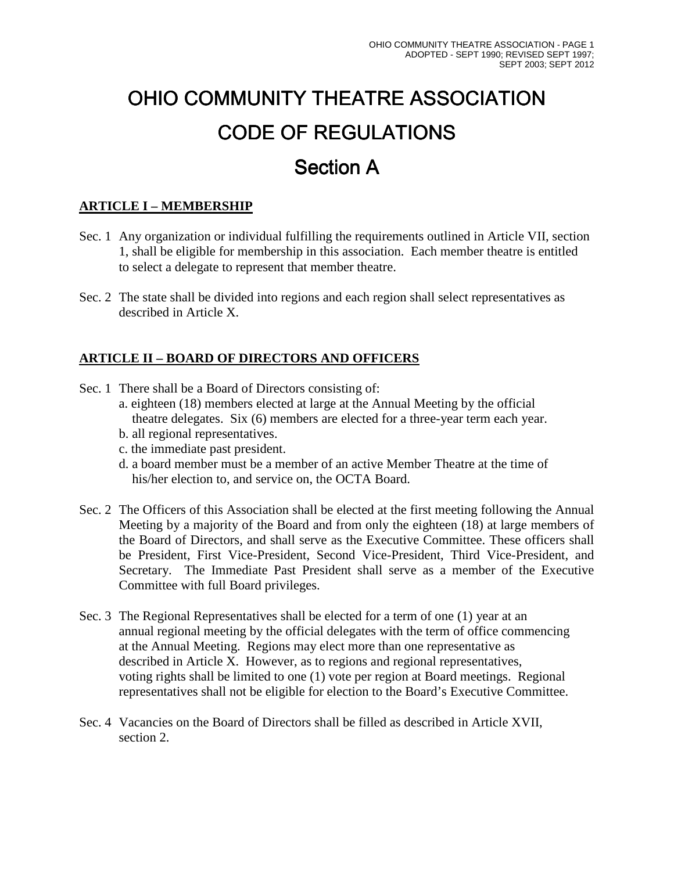# OHIO COMMUNITY THEATRE ASSOCIATION CODE OF REGULATIONS **Section A**

# **ARTICLE I – MEMBERSHIP**

- Sec. 1 Any organization or individual fulfilling the requirements outlined in Article VII, section 1, shall be eligible for membership in this association. Each member theatre is entitled to select a delegate to represent that member theatre.
- Sec. 2 The state shall be divided into regions and each region shall select representatives as described in Article X.

# **ARTICLE II – BOARD OF DIRECTORS AND OFFICERS**

- Sec. 1 There shall be a Board of Directors consisting of:
	- a. eighteen (18) members elected at large at the Annual Meeting by the official theatre delegates. Six (6) members are elected for a three-year term each year.
	- b. all regional representatives.
	- c. the immediate past president.
	- d. a board member must be a member of an active Member Theatre at the time of his/her election to, and service on, the OCTA Board.
- Sec. 2 The Officers of this Association shall be elected at the first meeting following the Annual Meeting by a majority of the Board and from only the eighteen (18) at large members of the Board of Directors, and shall serve as the Executive Committee. These officers shall be President, First Vice-President, Second Vice-President, Third Vice-President, and Secretary. The Immediate Past President shall serve as a member of the Executive Committee with full Board privileges.
- Sec. 3 The Regional Representatives shall be elected for a term of one (1) year at an annual regional meeting by the official delegates with the term of office commencing at the Annual Meeting. Regions may elect more than one representative as described in Article X. However, as to regions and regional representatives, voting rights shall be limited to one (1) vote per region at Board meetings. Regional representatives shall not be eligible for election to the Board's Executive Committee.
- Sec. 4 Vacancies on the Board of Directors shall be filled as described in Article XVII, section 2.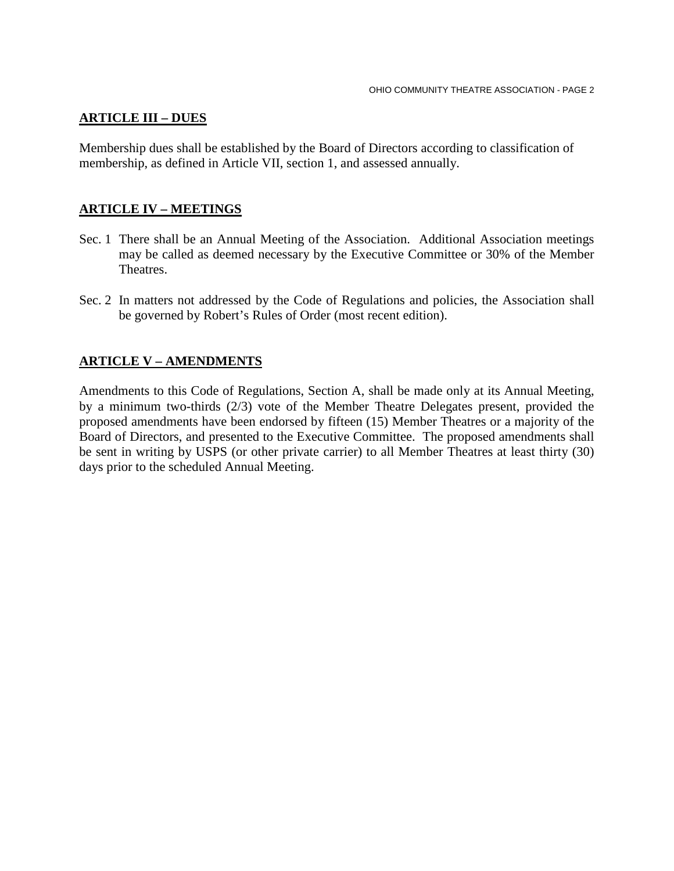## **ARTICLE III – DUES**

Membership dues shall be established by the Board of Directors according to classification of membership, as defined in Article VII, section 1, and assessed annually.

## **ARTICLE IV – MEETINGS**

- Sec. 1 There shall be an Annual Meeting of the Association. Additional Association meetings may be called as deemed necessary by the Executive Committee or 30% of the Member Theatres.
- Sec. 2 In matters not addressed by the Code of Regulations and policies, the Association shall be governed by Robert's Rules of Order (most recent edition).

## **ARTICLE V – AMENDMENTS**

Amendments to this Code of Regulations, Section A, shall be made only at its Annual Meeting, by a minimum two-thirds (2/3) vote of the Member Theatre Delegates present, provided the proposed amendments have been endorsed by fifteen (15) Member Theatres or a majority of the Board of Directors, and presented to the Executive Committee. The proposed amendments shall be sent in writing by USPS (or other private carrier) to all Member Theatres at least thirty (30) days prior to the scheduled Annual Meeting.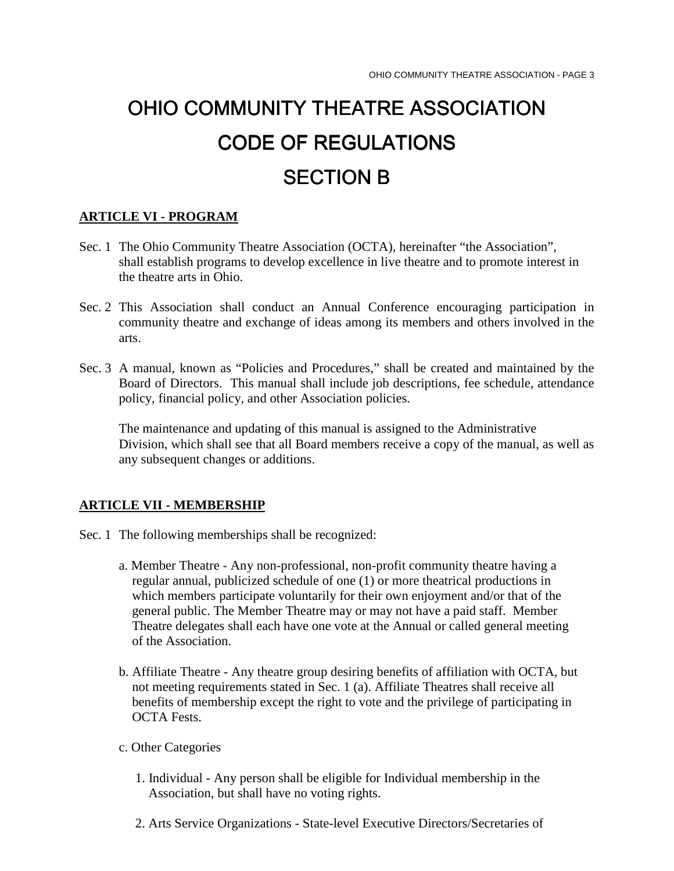# OHIO COMMUNITY THEATRE ASSOCIATION COMMUNITY THEATRE ASSOCIATION CODE OF REGULATIONS SECTION B

#### **ARTICLE VI - PROGRAM**

- Sec. 1 The Ohio Community Theatre Association (OCTA), hereinafter "the Association", shall establish programs to develop excellence in live theatre and to promote interest in the theatre arts in Ohio.
- Sec. 2 This Association shall conduct an Annual Conference encouraging participation in community theatre and exchange of ideas among its members and others involved in the arts.
- Sec. 3 A manual, known as "Policies and Procedures," shall be created and maintained by the Board of Directors. This manual shall include job descriptions, fee schedule, attendance policy, financial policy, and other Association policies.

 The maintenance and updating of this manual is assigned to the Administrative Division, which shall see that all Board members receive a copy of the manual, as well as any subsequent changes or additions.

#### **ARTICLE VII - MEMBERSHIP**

- Sec. 1 The following memberships shall be recognized:
	- a. Member Theatre Any non-professional, non-profit community theatre having a regular annual, publicized schedule of one (1) or more theatrical productions in which members participate voluntarily for their own enjoyment and/or that of the general public. The Member Theatre may or may not have a paid staff. Member Theatre delegates shall each have one vote at the Annual or called general meeting of the Association.
	- b. Affiliate Theatre Any theatre group desiring benefits of affiliation with OCTA, but not meeting requirements stated in Sec. 1 (a). Affiliate Theatres shall receive all benefits of membership except the right to vote and the privilege of participating in OCTA Fests.
	- c. Other Categories
		- 1. Individual Any person shall be eligible for Individual membership in the Association, but shall have no voting rights.
		- 2. Arts Service Organizations State-level Executive Directors/Secretaries of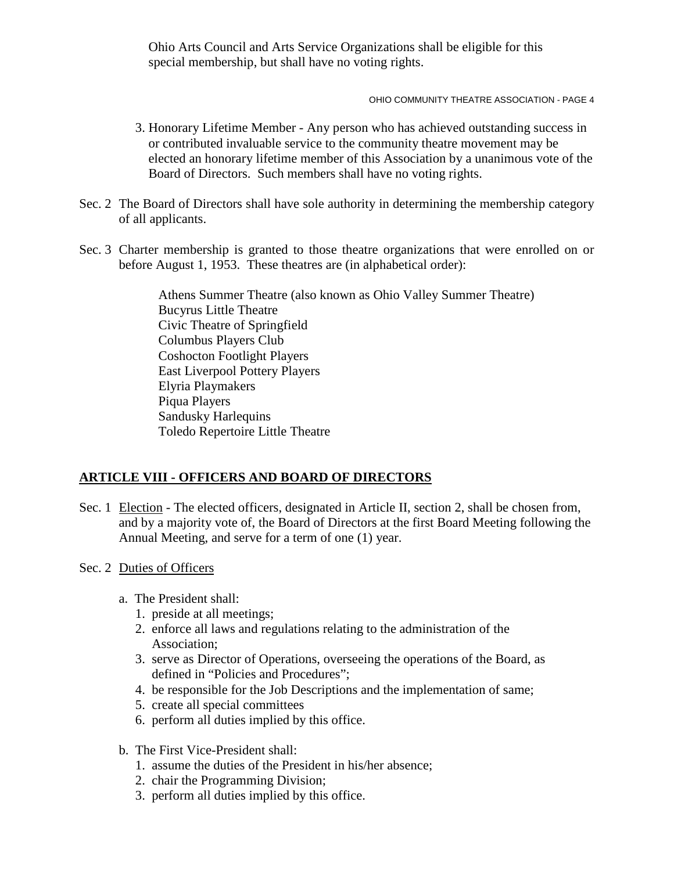Ohio Arts Council and Arts Service Organizations shall be eligible for this special membership, but shall have no voting rights.

OHIO COMMUNITY THEATRE ASSOCIATION - PAGE 4

- 3. Honorary Lifetime Member Any person who has achieved outstanding success in or contributed invaluable service to the community theatre movement may be elected an honorary lifetime member of this Association by a unanimous vote of the Board of Directors. Such members shall have no voting rights.
- Sec. 2 The Board of Directors shall have sole authority in determining the membership category of all applicants.
- Sec. 3 Charter membership is granted to those theatre organizations that were enrolled on or before August 1, 1953. These theatres are (in alphabetical order):

 Athens Summer Theatre (also known as Ohio Valley Summer Theatre) Bucyrus Little Theatre Civic Theatre of Springfield Columbus Players Club Coshocton Footlight Players East Liverpool Pottery Players Elyria Playmakers Piqua Players Sandusky Harlequins Toledo Repertoire Little Theatre

## **ARTICLE VIII - OFFICERS AND BOARD OF DIRECTORS**

- Sec. 1 Election The elected officers, designated in Article II, section 2, shall be chosen from, and by a majority vote of, the Board of Directors at the first Board Meeting following the Annual Meeting, and serve for a term of one (1) year.
- Sec. 2 Duties of Officers
	- a. The President shall:
		- 1. preside at all meetings;
		- 2. enforce all laws and regulations relating to the administration of the Association;
		- 3. serve as Director of Operations, overseeing the operations of the Board, as defined in "Policies and Procedures";
		- 4. be responsible for the Job Descriptions and the implementation of same;
		- 5. create all special committees
		- 6. perform all duties implied by this office.
	- b. The First Vice-President shall:
		- 1. assume the duties of the President in his/her absence;
		- 2. chair the Programming Division;
		- 3. perform all duties implied by this office.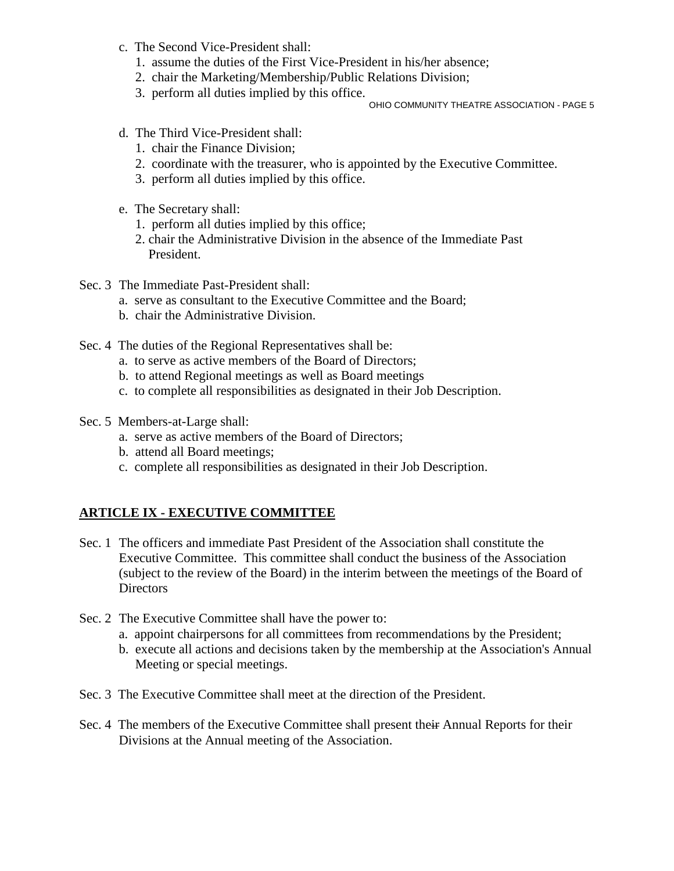- c. The Second Vice-President shall:
	- 1. assume the duties of the First Vice-President in his/her absence;
	- 2. chair the Marketing/Membership/Public Relations Division;
	- 3. perform all duties implied by this office.

OHIO COMMUNITY THEATRE ASSOCIATION - PAGE 5

- d. The Third Vice-President shall:
	- 1. chair the Finance Division;
	- 2. coordinate with the treasurer, who is appointed by the Executive Committee.
	- 3. perform all duties implied by this office.
- e. The Secretary shall:
	- 1. perform all duties implied by this office;
	- 2. chair the Administrative Division in the absence of the Immediate Past President.
- Sec. 3 The Immediate Past-President shall:
	- a. serve as consultant to the Executive Committee and the Board;
	- b. chair the Administrative Division.
- Sec. 4 The duties of the Regional Representatives shall be:
	- a. to serve as active members of the Board of Directors;
	- b. to attend Regional meetings as well as Board meetings
	- c. to complete all responsibilities as designated in their Job Description.
- Sec. 5 Members-at-Large shall:
	- a. serve as active members of the Board of Directors;
	- b. attend all Board meetings;
	- c. complete all responsibilities as designated in their Job Description.

## **ARTICLE IX - EXECUTIVE COMMITTEE**

- Sec. 1 The officers and immediate Past President of the Association shall constitute the Executive Committee. This committee shall conduct the business of the Association (subject to the review of the Board) in the interim between the meetings of the Board of **Directors**
- Sec. 2 The Executive Committee shall have the power to:
	- a. appoint chairpersons for all committees from recommendations by the President;
	- b. execute all actions and decisions taken by the membership at the Association's Annual Meeting or special meetings.
- Sec. 3 The Executive Committee shall meet at the direction of the President.
- Sec. 4 The members of the Executive Committee shall present their Annual Reports for their Divisions at the Annual meeting of the Association.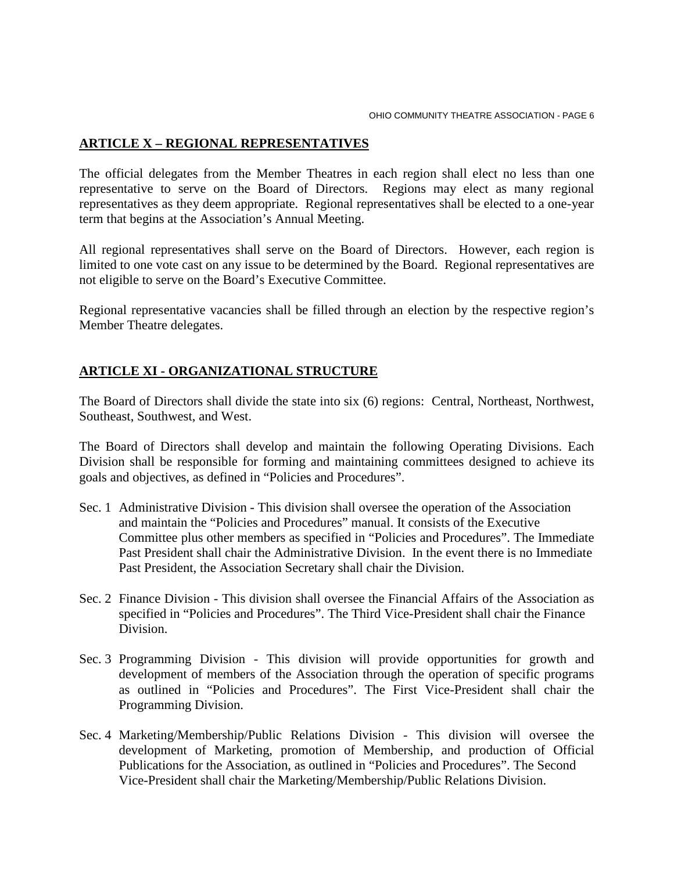## **ARTICLE X – REGIONAL REPRESENTATIVES**

The official delegates from the Member Theatres in each region shall elect no less than one representative to serve on the Board of Directors. Regions may elect as many regional representatives as they deem appropriate. Regional representatives shall be elected to a one-year term that begins at the Association's Annual Meeting.

All regional representatives shall serve on the Board of Directors. However, each region is limited to one vote cast on any issue to be determined by the Board. Regional representatives are not eligible to serve on the Board's Executive Committee.

Regional representative vacancies shall be filled through an election by the respective region's Member Theatre delegates.

## **ARTICLE XI - ORGANIZATIONAL STRUCTURE**

The Board of Directors shall divide the state into six (6) regions: Central, Northeast, Northwest, Southeast, Southwest, and West.

The Board of Directors shall develop and maintain the following Operating Divisions. Each Division shall be responsible for forming and maintaining committees designed to achieve its goals and objectives, as defined in "Policies and Procedures".

- Sec. 1 Administrative Division This division shall oversee the operation of the Association and maintain the "Policies and Procedures" manual. It consists of the Executive Committee plus other members as specified in "Policies and Procedures". The Immediate Past President shall chair the Administrative Division. In the event there is no Immediate Past President, the Association Secretary shall chair the Division.
- Sec. 2 Finance Division This division shall oversee the Financial Affairs of the Association as specified in "Policies and Procedures". The Third Vice-President shall chair the Finance Division.
- Sec. 3 Programming Division This division will provide opportunities for growth and development of members of the Association through the operation of specific programs as outlined in "Policies and Procedures". The First Vice-President shall chair the Programming Division.
- Sec. 4 Marketing/Membership/Public Relations Division This division will oversee the development of Marketing, promotion of Membership, and production of Official Publications for the Association, as outlined in "Policies and Procedures". The Second Vice-President shall chair the Marketing/Membership/Public Relations Division.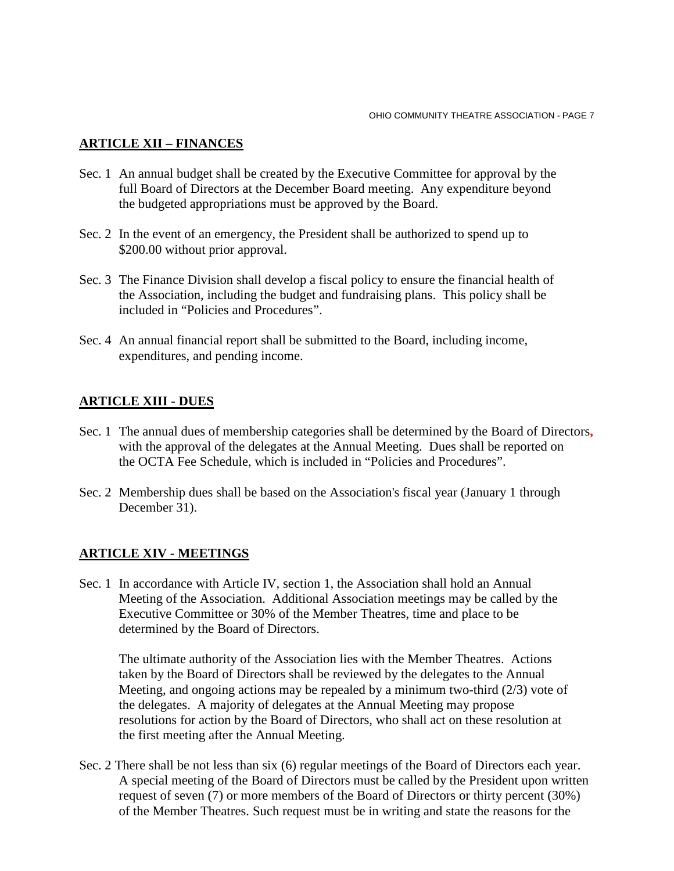## **ARTICLE XII – FINANCES**

- Sec. 1 An annual budget shall be created by the Executive Committee for approval by the full Board of Directors at the December Board meeting. Any expenditure beyond the budgeted appropriations must be approved by the Board.
- Sec. 2 In the event of an emergency, the President shall be authorized to spend up to \$200.00 without prior approval.
- Sec. 3 The Finance Division shall develop a fiscal policy to ensure the financial health of the Association, including the budget and fundraising plans. This policy shall be included in "Policies and Procedures".
- Sec. 4 An annual financial report shall be submitted to the Board, including income, expenditures, and pending income.

## **ARTICLE XIII - DUES**

- Sec. 1 The annual dues of membership categories shall be determined by the Board of Directors**,**  with the approval of the delegates at the Annual Meeting. Dues shall be reported on the OCTA Fee Schedule, which is included in "Policies and Procedures".
- Sec. 2 Membership dues shall be based on the Association's fiscal year (January 1 through December 31).

#### **ARTICLE XIV - MEETINGS**

Sec. 1 In accordance with Article IV, section 1, the Association shall hold an Annual Meeting of the Association. Additional Association meetings may be called by the Executive Committee or 30% of the Member Theatres, time and place to be determined by the Board of Directors.

The ultimate authority of the Association lies with the Member Theatres. Actions taken by the Board of Directors shall be reviewed by the delegates to the Annual Meeting, and ongoing actions may be repealed by a minimum two-third (2/3) vote of the delegates. A majority of delegates at the Annual Meeting may propose resolutions for action by the Board of Directors, who shall act on these resolution at the first meeting after the Annual Meeting.

Sec. 2 There shall be not less than six (6) regular meetings of the Board of Directors each year. A special meeting of the Board of Directors must be called by the President upon written request of seven (7) or more members of the Board of Directors or thirty percent (30%) of the Member Theatres. Such request must be in writing and state the reasons for the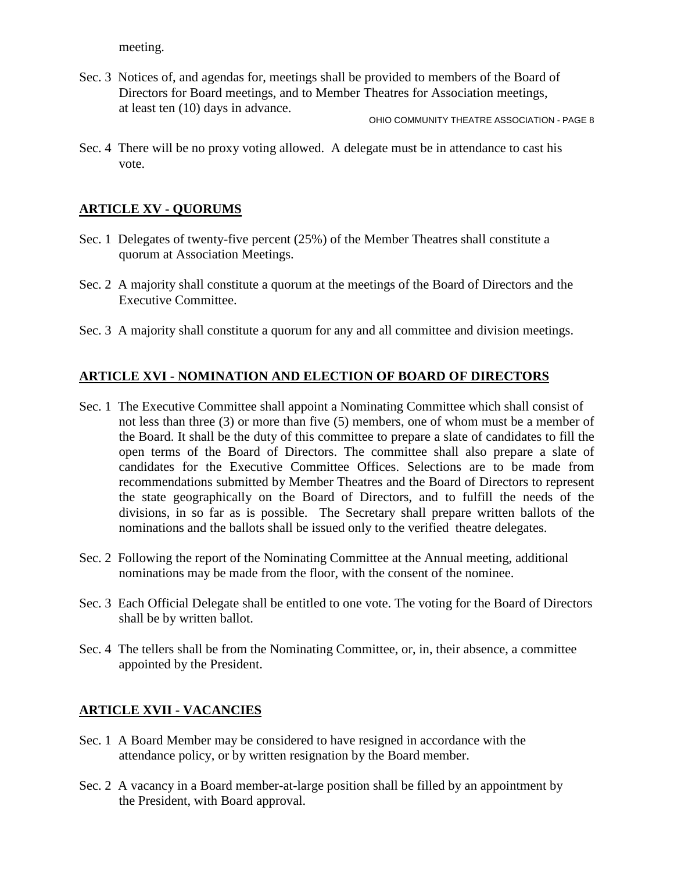meeting.

Sec. 3 Notices of, and agendas for, meetings shall be provided to members of the Board of Directors for Board meetings, and to Member Theatres for Association meetings, at least ten (10) days in advance.

OHIO COMMUNITY THEATRE ASSOCIATION - PAGE 8

Sec. 4 There will be no proxy voting allowed. A delegate must be in attendance to cast his vote.

## **ARTICLE XV - QUORUMS**

- Sec. 1 Delegates of twenty-five percent (25%) of the Member Theatres shall constitute a quorum at Association Meetings.
- Sec. 2 A majority shall constitute a quorum at the meetings of the Board of Directors and the Executive Committee.
- Sec. 3 A majority shall constitute a quorum for any and all committee and division meetings.

## **ARTICLE XVI - NOMINATION AND ELECTION OF BOARD OF DIRECTORS**

- Sec. 1 The Executive Committee shall appoint a Nominating Committee which shall consist of not less than three (3) or more than five (5) members, one of whom must be a member of the Board. It shall be the duty of this committee to prepare a slate of candidates to fill the open terms of the Board of Directors. The committee shall also prepare a slate of candidates for the Executive Committee Offices. Selections are to be made from recommendations submitted by Member Theatres and the Board of Directors to represent the state geographically on the Board of Directors, and to fulfill the needs of the divisions, in so far as is possible. The Secretary shall prepare written ballots of the nominations and the ballots shall be issued only to the verified theatre delegates.
- Sec. 2 Following the report of the Nominating Committee at the Annual meeting, additional nominations may be made from the floor, with the consent of the nominee.
- Sec. 3 Each Official Delegate shall be entitled to one vote. The voting for the Board of Directors shall be by written ballot.
- Sec. 4 The tellers shall be from the Nominating Committee, or, in, their absence, a committee appointed by the President.

# **ARTICLE XVII - VACANCIES**

- Sec. 1 A Board Member may be considered to have resigned in accordance with the attendance policy, or by written resignation by the Board member.
- Sec. 2 A vacancy in a Board member-at-large position shall be filled by an appointment by the President, with Board approval.